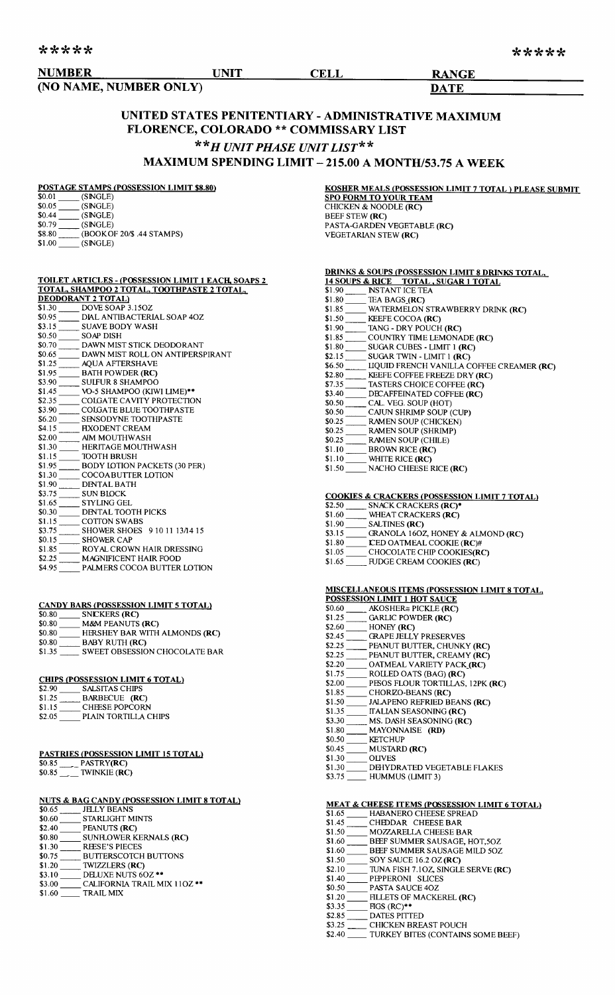|  |  | ***** |
|--|--|-------|
|  |  |       |

| *****                  |      |      |              | ***** |
|------------------------|------|------|--------------|-------|
| <b>NUMBER</b>          | UNIT | CELL | <b>RANGE</b> |       |
| (NO NAME, NUMBER ONLY) |      |      | <b>DATE</b>  |       |

# UNITED STATES PENITENTIARY - ADMINISTRATIVE MAXIMUM FLORENCE, COLORADO \*\* COMMISSARY LIST *\*\*H UNIT PHASE UNIT LIST\*\**

# MAXIMUM SPENDING LIMIT - 215.00 A MONTH/53.75 A WEEK

# POSTAGE STAMPS (POSSESSION LIMIT \$8.80)

| \$0.01 | (SNGLE)                    |
|--------|----------------------------|
| \$0.05 | (SNGLE)                    |
| \$0.44 | (SNGLE)                    |
| \$0.79 | (SNGLE)                    |
| \$8.80 | (BOOK OF 20/\$ .44 STAMPS) |
| \$1.00 | (SNGLE)                    |
|        |                            |

| <b>KOSHER MEALS (POSSESSION LIMIT 7 TOTAL) PLEASE SUBMIT</b> |
|--------------------------------------------------------------|
| <b>SPO FORM TO YOUR TEAM</b>                                 |
| CHICKEN & NOODLE (RC)                                        |
| <b>BEEF STEW (RC)</b>                                        |
| PASTA-GARDEN VEGETABLE (RC)                                  |
| <b>VEGETARIAN STEW (RC)</b>                                  |

# TOILET ARTICLES - (POSSESSION LIMIT 1 EACR SOAPS 2 TOTAL. SHAMPOO 2 TOTAL, TOOTHPASTE 2 TOTAL,

|        | <b>DEODORANT 2 TOTAL)</b>           |
|--------|-------------------------------------|
| \$1.30 | DOVE SOAP 3.15OZ                    |
| \$0.95 | DIAL ANTIBACTERIAL SOAP 40Z         |
| \$3.15 | <b>SUAVE BODY WASH</b>              |
| \$0.50 | SOAP DISH                           |
| \$0.70 | DAWN MIST STICK DEODORANT           |
| \$0.65 | DAWN MIST ROLL ON ANTIPERSPIRANT    |
| \$1.25 | <b>AOUA AFTERSHAVE</b>              |
| \$1.95 | <b>BATH POWDER (RC)</b>             |
| \$3.90 | <b>SULFUR 8 SHAMPOO</b>             |
| \$1.45 | VO-5 SHAMPOO (KIWI LIME)**          |
| \$2.35 | COIGATE CAVITY PROTECTION           |
| \$3.90 | COLGATE BLUE TOOTHPASTE             |
| \$6.20 | <b>SENSODYNE TOOTHPASTE</b>         |
| \$4.15 | <b>FIXODENT CREAM</b>               |
| \$2.00 | <b>AIM MOUTHWASH</b>                |
| \$1.30 | <b>HERITAGE MOUTHWASH</b>           |
| \$1.15 | <b>TOOTH BRUSH</b>                  |
| \$1.95 | <b>BODY LOTION PACKETS (30 PER)</b> |
| \$1.30 | COCOA BUTTER LOTION                 |
| \$1.90 | <b>DENTAL BATH</b>                  |
| \$3.75 | SUN BIOCK                           |
| \$1.65 | <b>STYLING GEL</b>                  |
| \$0.30 | DENTAL TOOTH PICKS                  |
| \$1.15 | <b>COTTON SWABS</b>                 |
| \$3.75 | SHOWER SHOES 9 10 11 13/14 15       |
| \$0.15 | <b>SHOWER CAP</b>                   |
| \$1.85 | ROYAL CROWN HAIR DRESSING           |
| \$2.25 | <b>MAGNIFICENT HAIR FOOD</b>        |
| \$4.95 | PALMERS COCOA BUTTER LOTION         |

### CANDY BARS (POSSESSION LIMIT 5 TOTAL)

| \$0.80 | SNICKERS (RC)                        |
|--------|--------------------------------------|
| \$0.80 | <b>M&amp;M PEANUTS (RC)</b>          |
| \$0.80 | HERSHEY BAR WITH ALMONDS (RC)        |
| \$0.80 | <b>BABY RUTH (RC)</b>                |
| \$1.35 | <b>SWEET OBSESSION CHOCOLATE BAR</b> |

### CHIPS (POSSESSION LIMIT 6 TOTAL)

| \$2.90 | <b>SALSITAS CHIPS</b> |
|--------|-----------------------|
| \$1.25 | BARBECUE (RC)         |
| \$1.15 | <b>CHEESE POPCORN</b> |
| \$2.05 | PLAIN TORTILLA CHIPS  |

# PASTRIES (POSSESSION LIMIT 15 TOTAL)

| \$0.85 | PASTRY(RC)            |
|--------|-----------------------|
| \$0.85 | TWINKIE ( <b>RC</b> ) |

### NUTS & BAG CANDY (POSSESSION LIMIT 8 TOTAL)

| \$0.65 | <b>JELLY BEANS</b>                 |
|--------|------------------------------------|
| \$0.60 | <b>STARLIGHT MINTS</b>             |
| \$2.40 | PEANUTS (RC)                       |
| \$0.80 | SUNFLOWER KERNALS (RC)             |
| \$1.30 | <b>REESE'S PIECES</b>              |
| \$0.75 | <b>BUTTERSCOTCH BUTTONS</b>        |
| \$1.20 | <b>TWIZZLERS (RC)</b>              |
| \$3.10 | DELUXE NUTS 6OZ **                 |
| \$3.00 | <b>CALIFORNIA TRAIL MIX 11OZ**</b> |
| \$1.60 | <b>TRAIL MIX</b>                   |

|        | 14 SOUPS & RICE TOTAL, SUGAR 1 TOTAL      |
|--------|-------------------------------------------|
| \$1.90 | <b>INSTANT ICE TEA</b>                    |
| \$1.80 | TEA BAGS (RC)                             |
| \$1.85 | WATERMELON STRAWBERRY DRINK (RC)          |
| \$1.50 | KEEFE COCOA (RC)                          |
| \$1.90 | TANG - DRY POUCH (RC)                     |
| \$1.85 | COUNTRY TIME LEMONADE (RC)                |
| \$1.80 | SUGAR CUBES - LIMIT 1 (RC)                |
| \$2.15 | SUGAR TWIN - LIMIT 1 (RC)                 |
| \$6.50 | LIQUID FRENCH VANILLA COFFEE CREAMER (RC) |
| \$2.80 | KEEFE COFFEE FREEZE DRY (RC)              |
| \$7.35 | TASTERS CHOICE COFFEE (RC)                |
| \$3.40 | DECAFFEINATED COFFEE (RC)                 |
| \$0.50 | CAL. VEG. SOUP (HOT)                      |
| \$0.50 | CAJUN SHRIMP SOUP (CUP)                   |
| \$0.25 | <b>RAMEN SOUP (CHICKEN)</b>               |
| \$0.25 | <b>RAMEN SOUP (SHRIMP)</b>                |
| \$0.25 | <b>RAMEN SOUP (CHILE)</b>                 |
| \$1.IO | BROWN RICE (RC)                           |

DRINKS & SOUPS (POSSESSION LIMIT 8 DRINKS TOTA

- $\frac{1.10}{1.10}$  $W$ HITE RICE (RC)
- \$1.50 NACHO CHEESE RICE (RC)

## COOKIES & CRACKERS (POSSESSION LIMIT 7 TOTAL)

| \$2.50 | SNACK CRACKERS (RC)*              |
|--------|-----------------------------------|
| \$1.60 | WHEAT CRACKERS (RC)               |
| \$1.90 | <b>SALTINES (RC)</b>              |
| \$3.15 | GRANOLA 160Z, HONEY & ALMOND (RC) |
| \$1.80 | <b>CED OATMEAL COOKIE (RC)#</b>   |
| \$1.05 | CHOCOLATE CHIP COOKIES(RC)        |
| \$1.65 | FUDGE CREAM COOKIES (RC)          |

### MISCELLANEOUS ITEMS (POSSESSION LIMIT 8 TOT AL, POSSESSION LIMIT 1 HOT SAUCE

| \$0.60 | AKOSHER≅ PICKLE (RC)                            |
|--------|-------------------------------------------------|
| \$1.25 | <b>GARLIC POWDER (RC)</b>                       |
| \$2.60 | HONEY (RC)                                      |
| \$2.45 | GRAPE JELLY PRESERVES                           |
| \$2.25 | PEANUT BUTTER, CHUNKY (RC)                      |
| \$2.25 | PEANUT BUTTER, CREAMY (RC)                      |
| \$2.20 | OATMEAL VARIETY PACK (RC)                       |
| \$1.75 | ROLLED OATS (BAG) (RC)                          |
| \$2.00 | PESOS FLOUR TORTILLAS, 12PK (RC)                |
| \$1.85 | CHORZO-BEANS (RC)                               |
| \$1.50 | JALAPENO REFRIED BEANS (RC)                     |
| \$1.35 | <b>ITALIAN SEASONING (RC)</b>                   |
| \$3.30 | MS. DASH SEASONING (RC)                         |
| \$1.80 | MAYONNAISE (RD)                                 |
| \$0.50 | <b>KETCHUP</b>                                  |
| \$0.45 | <b>MUSTARD (RC)</b>                             |
| \$1.30 | <b>OLIVES</b>                                   |
| ወ1 ግሌ  | 88.828.828.828.828.828.828.828.828.83<br>5.7770 |

\$1.30 \_\_\_\_\_ D<del>EI</del>YDRATED VEGETABLE FLAKE:<br>\$3.75 \_\_\_\_\_ HUMMUS (LIMIT 3)

### MEAT & CHEESE ITEMS (POSSESSION LIMIT 6 TOTAL)

| \$1.65 | HABANERO CHEESE SPREAT |
|--------|------------------------|
| \$1.45 | CHEDDAR CHEESE BAR     |

- \$1.50 MOZZARELLA CHEESE BAR
- \$1.60 BEEF SUMMER SAUSAGE, HOT,50
- \$1.60 BEEF SUMMER SAUSAGE MILD 50Z
- $$1.50$  SOY SAUCE 16.2 OZ(RC)
- \$2.10 TUNA FISH 7.1OZ, SINGLE SERVE (RC)
- \$1.40 PEPPERONI SLICES
- \$0.50 PASTA SAUCE 40Z
- $$1.20$  FILLETS OF MACKEREL (RC)<br> $$3.35$  FIGS (RC)\*\*  $HGS (RC)$ \*\*
- \$2.85 DATES PITTED
- \$3.25 CHICKEN BREAST POUCH
- \$2.40 TURKEY BITES (CONTAINS SOME BEEF)